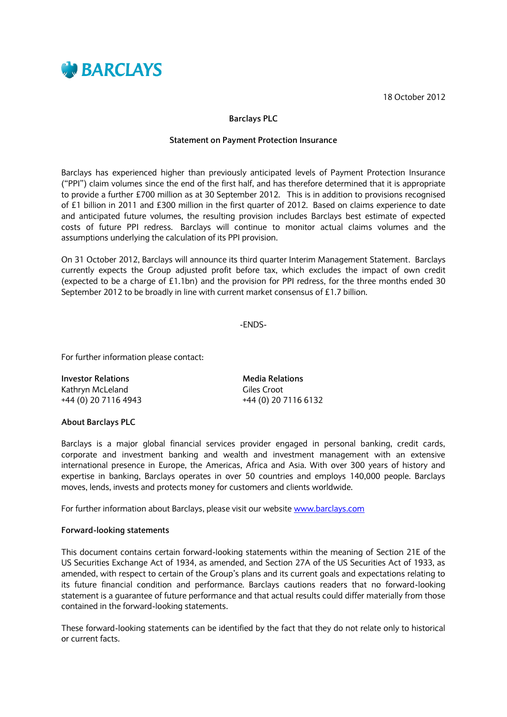

18 October 2012

## **Barclays PLC**

## **Statement on Payment Protection Insurance**

Barclays has experienced higher than previously anticipated levels of Payment Protection Insurance ("PPI") claim volumes since the end of the first half, and has therefore determined that it is appropriate to provide a further £700 million as at 30 September 2012. This is in addition to provisions recognised of £1 billion in 2011 and £300 million in the first quarter of 2012. Based on claims experience to date and anticipated future volumes, the resulting provision includes Barclays best estimate of expected costs of future PPI redress. Barclays will continue to monitor actual claims volumes and the assumptions underlying the calculation of its PPI provision.

On 31 October 2012, Barclays will announce its third quarter Interim Management Statement. Barclays currently expects the Group adjusted profit before tax, which excludes the impact of own credit (expected to be a charge of £1.1bn) and the provision for PPI redress, for the three months ended 30 September 2012 to be broadly in line with current market consensus of £1.7 billion.

-ENDS-

For further information please contact:

| <b>Investor Relations</b> | <b>Media Relations</b> |
|---------------------------|------------------------|
| Kathryn McLeland          | Giles Croot            |
| +44 (0) 20 7116 4943      | +44 (0) 20 7116 6132   |

## **About Barclays PLC**

Barclays is a major global financial services provider engaged in personal banking, credit cards, corporate and investment banking and wealth and investment management with an extensive international presence in Europe, the Americas, Africa and Asia. With over 300 years of history and expertise in banking, Barclays operates in over 50 countries and employs 140,000 people. Barclays moves, lends, invests and protects money for customers and clients worldwide.

For further information about Barclays, please visit our website [www.barclays.com](http://www.barclays.com/)

## **Forward-looking statements**

This document contains certain forward-looking statements within the meaning of Section 21E of the US Securities Exchange Act of 1934, as amended, and Section 27A of the US Securities Act of 1933, as amended, with respect to certain of the Group's plans and its current goals and expectations relating to its future financial condition and performance. Barclays cautions readers that no forward-looking statement is a guarantee of future performance and that actual results could differ materially from those contained in the forward-looking statements.

These forward-looking statements can be identified by the fact that they do not relate only to historical or current facts.